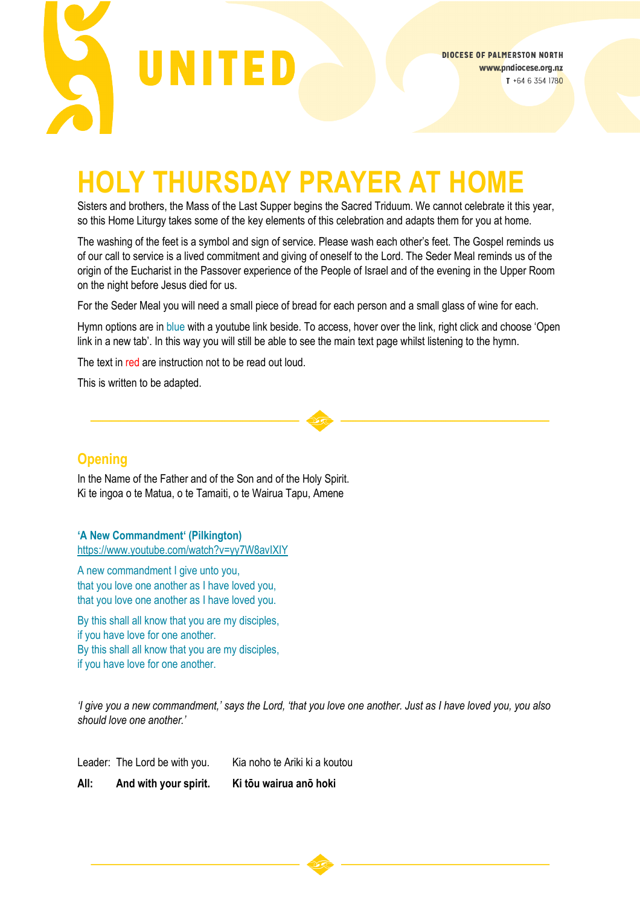

# **HOLY THURSDAY PRAYER AT HOME**

Sisters and brothers, the Mass of the Last Supper begins the Sacred Triduum. We cannot celebrate it this year, so this Home Liturgy takes some of the key elements of this celebration and adapts them for you at home.

The washing of the feet is a symbol and sign of service. Please wash each other's feet. The Gospel reminds us of our call to service is a lived commitment and giving of oneself to the Lord. The Seder Meal reminds us of the origin of the Eucharist in the Passover experience of the People of Israel and of the evening in the Upper Room on the night before Jesus died for us.

For the Seder Meal you will need a small piece of bread for each person and a small glass of wine for each.

Hymn options are in blue with a youtube link beside. To access, hover over the link, right click and choose 'Open link in a new tab'. In this way you will still be able to see the main text page whilst listening to the hymn.

The text in red are instruction not to be read out loud.

This is written to be adapted.

# **Opening**

In the Name of the Father and of the Son and of the Holy Spirit. Ki te ingoa o te Matua, o te Tamaiti, o te Wairua Tapu, Amene

**'A New Commandment' (Pilkington)** <https://www.youtube.com/watch?v=yy7W8avIXIY>

A new commandment I give unto you, that you love one another as I have loved you, that you love one another as I have loved you.

By this shall all know that you are my disciples, if you have love for one another. By this shall all know that you are my disciples, if you have love for one another.

*'I give you a new commandment,' says the Lord, 'that you love one another. Just as I have loved you, you also should love one another.'*

Leader: The Lord be with you. Kia noho te Ariki ki a koutou

**All: And with your spirit. Ki tōu wairua anō hoki**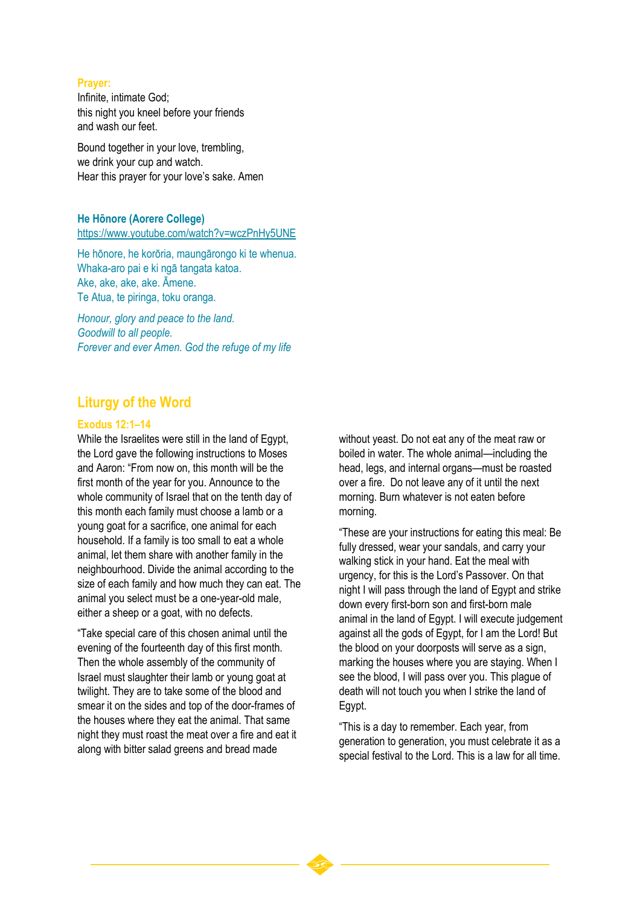#### **Prayer:**

Infinite, intimate God; this night you kneel before your friends and wash our feet.

Bound together in your love, trembling, we drink your cup and watch. Hear this prayer for your love's sake. Amen

## **He Hōnore (Aorere College)**

<https://www.youtube.com/watch?v=wczPnHy5UNE>

He hōnore, he korōria, maungārongo ki te whenua. Whaka-aro pai e ki ngā tangata katoa. Ake, ake, ake, ake. Āmene. Te Atua, te piringa, toku oranga.

*Honour, glory and peace to the land. Goodwill to all people. Forever and ever Amen. God the refuge of my life*

# **Liturgy of the Word**

#### **Exodus 12:1–14**

While the Israelites were still in the land of Egypt, the Lord gave the following instructions to Moses and Aaron: "From now on, this month will be the first month of the year for you. Announce to the whole community of Israel that on the tenth day of this month each family must choose a lamb or a young goat for a sacrifice, one animal for each household. If a family is too small to eat a whole animal, let them share with another family in the neighbourhood. Divide the animal according to the size of each family and how much they can eat. The animal you select must be a one-year-old male, either a sheep or a goat, with no defects.

"Take special care of this chosen animal until the evening of the fourteenth day of this first month. Then the whole assembly of the community of Israel must slaughter their lamb or young goat at twilight. They are to take some of the blood and smear it on the sides and top of the door-frames of the houses where they eat the animal. That same night they must roast the meat over a fire and eat it along with bitter salad greens and bread made

without yeast. Do not eat any of the meat raw or boiled in water. The whole animal—including the head, legs, and internal organs—must be roasted over a fire. Do not leave any of it until the next morning. Burn whatever is not eaten before morning.

"These are your instructions for eating this meal: Be fully dressed, wear your sandals, and carry your walking stick in your hand. Eat the meal with urgency, for this is the Lord's Passover. On that night I will pass through the land of Egypt and strike down every first-born son and first-born male animal in the land of Egypt. I will execute judgement against all the gods of Egypt, for I am the Lord! But the blood on your doorposts will serve as a sign, marking the houses where you are staying. When I see the blood, I will pass over you. This plague of death will not touch you when I strike the land of Egypt.

"This is a day to remember. Each year, from generation to generation, you must celebrate it as a special festival to the Lord. This is a law for all time.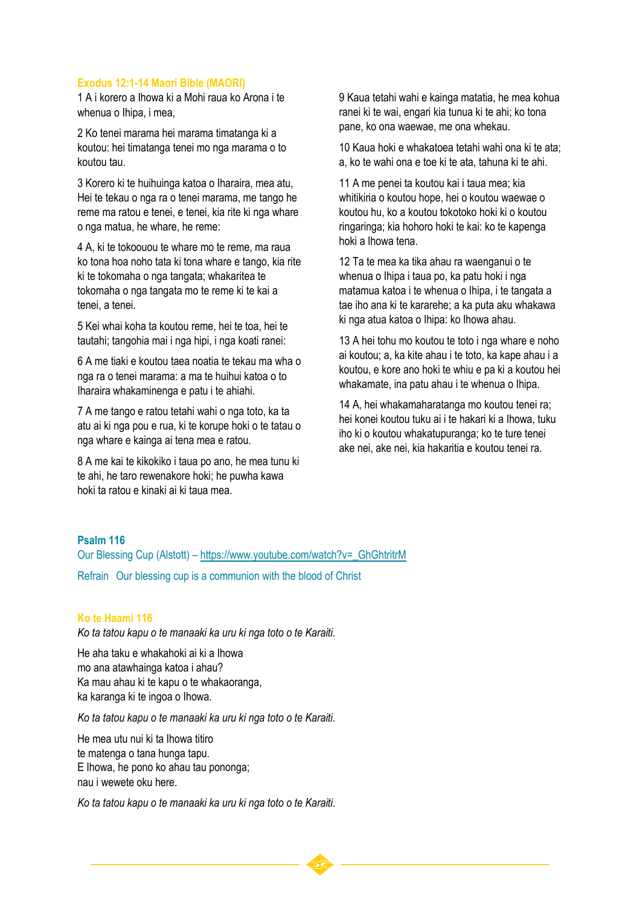#### **Exodus 12:1-14 Maori Bible (MAORI)**

1 A i korero a Ihowa ki a Mohi raua ko Arona i te whenua o Ihipa, i mea,

2 Ko tenei marama hei marama timatanga ki a koutou: hei timatanga tenei mo nga marama o to koutou tau.

3 Korero ki te huihuinga katoa o Iharaira, mea atu, Hei te tekau o nga ra o tenei marama, me tango he reme ma ratou e tenei, e tenei, kia rite ki nga whare o nga matua, he whare, he reme:

4 A, ki te tokoouou te whare mo te reme, ma raua ko tona hoa noho tata ki tona whare e tango, kia rite ki te tokomaha o nga tangata; whakaritea te tokomaha o nga tangata mo te reme ki te kai a tenei, a tenei.

5 Kei whai koha ta koutou reme, hei te toa, hei te tautahi; tangohia mai i nga hipi, i nga koati ranei:

6 A me tiaki e koutou taea noatia te tekau ma wha o nga ra o tenei marama: a ma te huihui katoa o to Iharaira whakaminenga e patu i te ahiahi.

7 A me tango e ratou tetahi wahi o nga toto, ka ta atu ai ki nga pou e rua, ki te korupe hoki o te tatau o nga whare e kainga ai tena mea e ratou.

8 A me kai te kikokiko i taua po ano, he mea tunu ki te ahi, he taro rewenakore hoki; he puwha kawa hoki ta ratou e kinaki ai ki taua mea.

9 Kaua tetahi wahi e kainga matatia, he mea kohua ranei ki te wai, engari kia tunua ki te ahi; ko tona pane, ko ona waewae, me ona whekau.

10 Kaua hoki e whakatoea tetahi wahi ona ki te ata; a, ko te wahi ona e toe ki te ata, tahuna ki te ahi.

11 A me penei ta koutou kai i taua mea; kia whitikiria o koutou hope, hei o koutou waewae o koutou hu, ko a koutou tokotoko hoki ki o koutou ringaringa; kia hohoro hoki te kai: ko te kapenga hoki a Ihowa tena.

12 Ta te mea ka tika ahau ra waenganui o te whenua o Ihipa i taua po, ka patu hoki i nga matamua katoa i te whenua o Ihipa, i te tangata a tae iho ana ki te kararehe; a ka puta aku whakawa ki nga atua katoa o Ihipa: ko Ihowa ahau.

13 A hei tohu mo koutou te toto i nga whare e noho ai koutou; a, ka kite ahau i te toto, ka kape ahau i a koutou, e kore ano hoki te whiu e pa ki a koutou hei whakamate, ina patu ahau i te whenua o Ihipa.

14 A, hei whakamaharatanga mo koutou tenei ra; hei konei koutou tuku ai i te hakari ki a Ihowa, tuku iho ki o koutou whakatupuranga; ko te ture tenei ake nei, ake nei, kia hakaritia e koutou tenei ra.

#### **Psalm 116**

Our Blessing Cup (Alstott) – [https://www.youtube.com/watch?v=\\_GhGhtritrM](https://www.youtube.com/watch?v=_GhGhtritrM) Refrain Our blessing cup is a communion with the blood of Christ

## **Ko te Haami 116**

*Ko ta tatou kapu o te manaaki ka uru ki nga toto o te Karaiti.*

He aha taku e whakahoki ai ki a Ihowa mo ana atawhainga katoa i ahau? Ka mau ahau ki te kapu o te whakaoranga, ka karanga ki te ingoa o Ihowa.

*Ko ta tatou kapu o te manaaki ka uru ki nga toto o te Karaiti.*

He mea utu nui ki ta Ihowa titiro te matenga o tana hunga tapu. E Ihowa, he pono ko ahau tau pononga; nau i wewete oku here.

*Ko ta tatou kapu o te manaaki ka uru ki nga toto o te Karaiti.*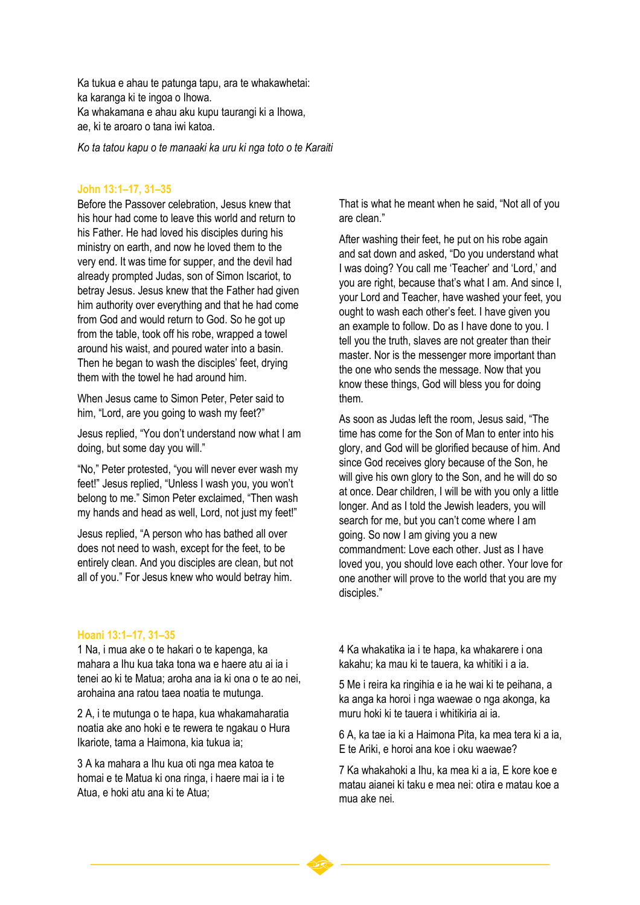Ka tukua e ahau te patunga tapu, ara te whakawhetai: ka karanga ki te ingoa o Ihowa. Ka whakamana e ahau aku kupu taurangi ki a Ihowa, ae, ki te aroaro o tana iwi katoa.

*Ko ta tatou kapu o te manaaki ka uru ki nga toto o te Karaiti*

## **John 13:1–17, 31–35**

Before the Passover celebration, Jesus knew that his hour had come to leave this world and return to his Father. He had loved his disciples during his ministry on earth, and now he loved them to the very end. It was time for supper, and the devil had already prompted Judas, son of Simon Iscariot, to betray Jesus. Jesus knew that the Father had given him authority over everything and that he had come from God and would return to God. So he got up from the table, took off his robe, wrapped a towel around his waist, and poured water into a basin. Then he began to wash the disciples' feet, drying them with the towel he had around him.

When Jesus came to Simon Peter, Peter said to him, "Lord, are you going to wash my feet?"

Jesus replied, "You don't understand now what I am doing, but some day you will."

"No," Peter protested, "you will never ever wash my feet!" Jesus replied, "Unless I wash you, you won't belong to me." Simon Peter exclaimed, "Then wash my hands and head as well, Lord, not just my feet!"

Jesus replied, "A person who has bathed all over does not need to wash, except for the feet, to be entirely clean. And you disciples are clean, but not all of you." For Jesus knew who would betray him.

#### **Hoani 13:1–17, 31–35**

1 Na, i mua ake o te hakari o te kapenga, ka mahara a Ihu kua taka tona wa e haere atu ai ia i tenei ao ki te Matua; aroha ana ia ki ona o te ao nei, arohaina ana ratou taea noatia te mutunga.

2 A, i te mutunga o te hapa, kua whakamaharatia noatia ake ano hoki e te rewera te ngakau o Hura Ikariote, tama a Haimona, kia tukua ia;

3 A ka mahara a Ihu kua oti nga mea katoa te homai e te Matua ki ona ringa, i haere mai ia i te Atua, e hoki atu ana ki te Atua;

That is what he meant when he said, "Not all of you are clean."

After washing their feet, he put on his robe again and sat down and asked, "Do you understand what I was doing? You call me 'Teacher' and 'Lord,' and you are right, because that's what I am. And since I, your Lord and Teacher, have washed your feet, you ought to wash each other's feet. I have given you an example to follow. Do as I have done to you. I tell you the truth, slaves are not greater than their master. Nor is the messenger more important than the one who sends the message. Now that you know these things, God will bless you for doing them.

As soon as Judas left the room, Jesus said, "The time has come for the Son of Man to enter into his glory, and God will be glorified because of him. And since God receives glory because of the Son, he will give his own glory to the Son, and he will do so at once. Dear children, I will be with you only a little longer. And as I told the Jewish leaders, you will search for me, but you can't come where I am going. So now I am giving you a new commandment: Love each other. Just as I have loved you, you should love each other. Your love for one another will prove to the world that you are my disciples."

4 Ka whakatika ia i te hapa, ka whakarere i ona kakahu; ka mau ki te tauera, ka whitiki i a ia.

5 Me i reira ka ringihia e ia he wai ki te peihana, a ka anga ka horoi i nga waewae o nga akonga, ka muru hoki ki te tauera i whitikiria ai ia.

6 A, ka tae ia ki a Haimona Pita, ka mea tera ki a ia, E te Ariki, e horoi ana koe i oku waewae?

7 Ka whakahoki a Ihu, ka mea ki a ia, E kore koe e matau aianei ki taku e mea nei: otira e matau koe a mua ake nei.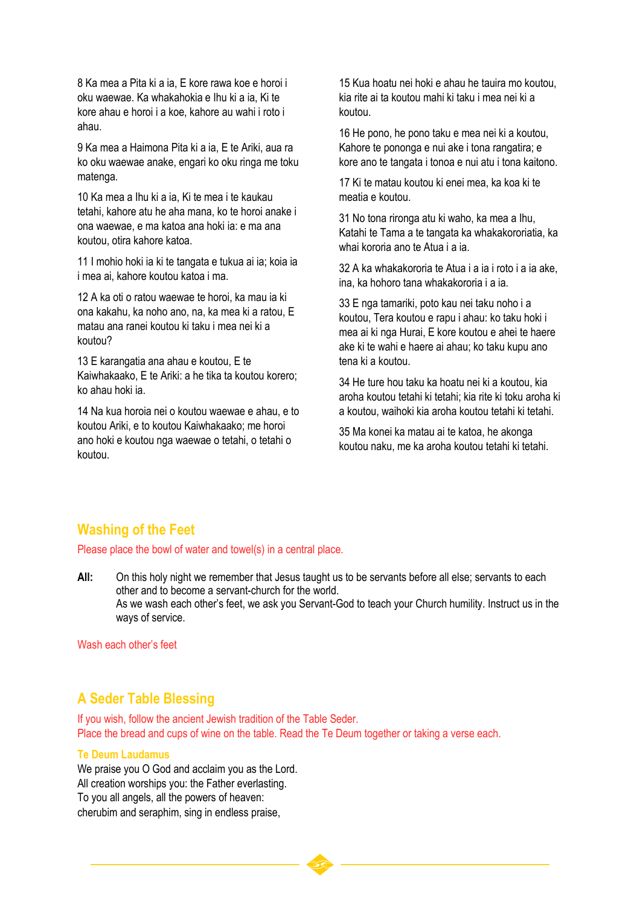8 Ka mea a Pita ki a ia, E kore rawa koe e horoi i oku waewae. Ka whakahokia e Ihu ki a ia, Ki te kore ahau e horoi i a koe, kahore au wahi i roto i ahau.

9 Ka mea a Haimona Pita ki a ia, E te Ariki, aua ra ko oku waewae anake, engari ko oku ringa me toku matenga.

10 Ka mea a Ihu ki a ia, Ki te mea i te kaukau tetahi, kahore atu he aha mana, ko te horoi anake i ona waewae, e ma katoa ana hoki ia: e ma ana koutou, otira kahore katoa.

11 I mohio hoki ia ki te tangata e tukua ai ia; koia ia i mea ai, kahore koutou katoa i ma.

12 A ka oti o ratou waewae te horoi, ka mau ia ki ona kakahu, ka noho ano, na, ka mea ki a ratou, E matau ana ranei koutou ki taku i mea nei ki a koutou?

13 E karangatia ana ahau e koutou, E te Kaiwhakaako, E te Ariki: a he tika ta koutou korero; ko ahau hoki ia.

14 Na kua horoia nei o koutou waewae e ahau, e to koutou Ariki, e to koutou Kaiwhakaako; me horoi ano hoki e koutou nga waewae o tetahi, o tetahi o koutou.

15 Kua hoatu nei hoki e ahau he tauira mo koutou, kia rite ai ta koutou mahi ki taku i mea nei ki a koutou.

16 He pono, he pono taku e mea nei ki a koutou, Kahore te pononga e nui ake i tona rangatira; e kore ano te tangata i tonoa e nui atu i tona kaitono.

17 Ki te matau koutou ki enei mea, ka koa ki te meatia e koutou.

31 No tona rironga atu ki waho, ka mea a Ihu, Katahi te Tama a te tangata ka whakakororiatia, ka whai kororia ano te Atua i a ia.

32 A ka whakakororia te Atua i a ia i roto i a ia ake, ina, ka hohoro tana whakakororia i a ia.

33 E nga tamariki, poto kau nei taku noho i a koutou, Tera koutou e rapu i ahau: ko taku hoki i mea ai ki nga Hurai, E kore koutou e ahei te haere ake ki te wahi e haere ai ahau; ko taku kupu ano tena ki a koutou.

34 He ture hou taku ka hoatu nei ki a koutou, kia aroha koutou tetahi ki tetahi; kia rite ki toku aroha ki a koutou, waihoki kia aroha koutou tetahi ki tetahi.

35 Ma konei ka matau ai te katoa, he akonga koutou naku, me ka aroha koutou tetahi ki tetahi.

# **Washing of the Feet**

Please place the bowl of water and towel(s) in a central place.

**All:** On this holy night we remember that Jesus taught us to be servants before all else; servants to each other and to become a servant-church for the world. As we wash each other's feet, we ask you Servant-God to teach your Church humility. Instruct us in the ways of service.

Wash each other's feet

# **A Seder Table Blessing**

If you wish, follow the ancient Jewish tradition of the Table Seder. Place the bread and cups of wine on the table. Read the Te Deum together or taking a verse each.

## **Te Deum Laudamus**

We praise you O God and acclaim you as the Lord. All creation worships you: the Father everlasting. To you all angels, all the powers of heaven: cherubim and seraphim, sing in endless praise,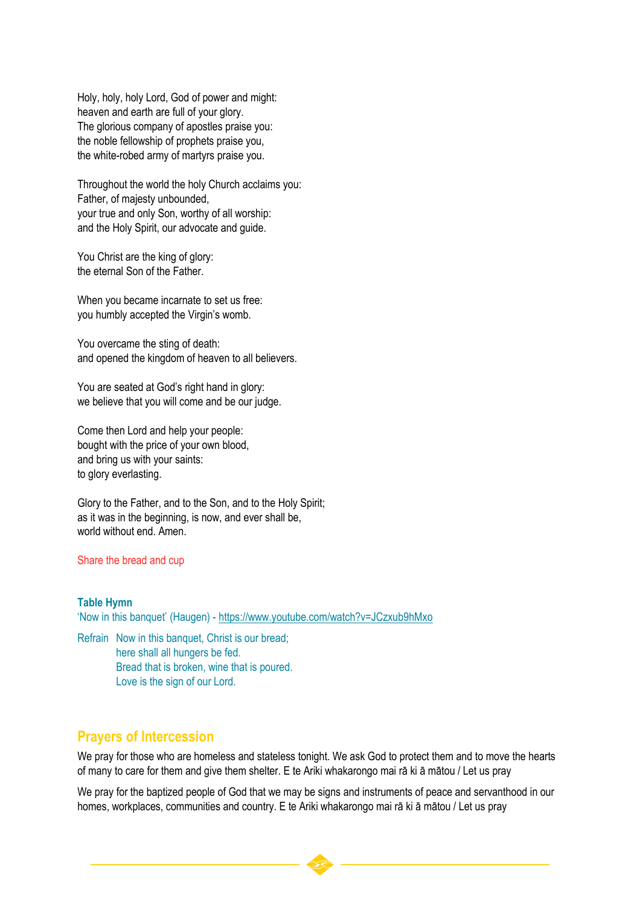Holy, holy, holy Lord, God of power and might: heaven and earth are full of your glory. The glorious company of apostles praise you: the noble fellowship of prophets praise you, the white-robed army of martyrs praise you.

Throughout the world the holy Church acclaims you: Father, of majesty unbounded, your true and only Son, worthy of all worship: and the Holy Spirit, our advocate and guide.

You Christ are the king of glory: the eternal Son of the Father.

When you became incarnate to set us free: you humbly accepted the Virgin's womb.

You overcame the sting of death: and opened the kingdom of heaven to all believers.

You are seated at God's right hand in glory: we believe that you will come and be our judge.

Come then Lord and help your people: bought with the price of your own blood, and bring us with your saints: to glory everlasting.

Glory to the Father, and to the Son, and to the Holy Spirit; as it was in the beginning, is now, and ever shall be, world without end. Amen.

#### Share the bread and cup

#### **Table Hymn**

'Now in this banquet' (Haugen) - <https://www.youtube.com/watch?v=JCzxub9hMxo>

Refrain Now in this banquet, Christ is our bread; here shall all hungers be fed. Bread that is broken, wine that is poured. Love is the sign of our Lord.

# **Prayers of Intercession**

We pray for those who are homeless and stateless tonight. We ask God to protect them and to move the hearts of many to care for them and give them shelter. E te Ariki whakarongo mai rā ki ā mātou / Let us pray

We pray for the baptized people of God that we may be signs and instruments of peace and servanthood in our homes, workplaces, communities and country. E te Ariki whakarongo mai rā ki ā mātou / Let us pray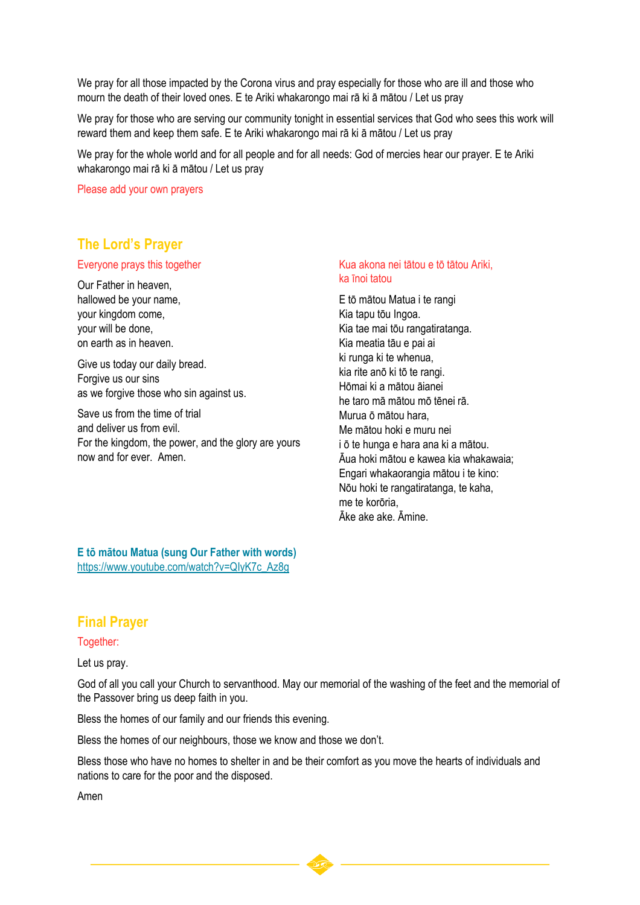We pray for all those impacted by the Corona virus and pray especially for those who are ill and those who mourn the death of their loved ones. E te Ariki whakarongo mai rā ki ā mātou / Let us pray

We pray for those who are serving our community tonight in essential services that God who sees this work will reward them and keep them safe. E te Ariki whakarongo mai rā ki ā mātou / Let us pray

We pray for the whole world and for all people and for all needs: God of mercies hear our prayer. E te Ariki whakarongo mai rā ki ā mātou / Let us pray

Please add your own prayers

# **The Lord's Prayer**

## Everyone prays this together

Our Father in heaven, hallowed be your name, your kingdom come, your will be done, on earth as in heaven.

Give us today our daily bread. Forgive us our sins as we forgive those who sin against us.

Save us from the time of trial and deliver us from evil. For the kingdom, the power, and the glory are yours now and for ever. Amen.

## Kua akona nei tātou e tō tātou Ariki, ka īnoi tatou

E tō mātou Matua i te rangi Kia tapu tōu Ingoa. Kia tae mai tōu rangatiratanga. Kia meatia tāu e pai ai ki runga ki te whenua, kia rite anō ki tō te rangi. Hōmai ki a mātou āianei he taro mā mātou mō tēnei rā. Murua ō mātou hara, Me mātou hoki e muru nei i ō te hunga e hara ana ki a mātou. Āua hoki mātou e kawea kia whakawaia; Engari whakaorangia mātou i te kino: Nōu hoki te rangatiratanga, te kaha, me te korōria, Āke ake ake. Āmine.

**E tō mātou Matua (sung Our Father with words)** [https://www.youtube.com/watch?v=QIyK7c\\_Az8g](https://www.youtube.com/watch?v=QIyK7c_Az8g)

# **Final Prayer**

#### Together:

Let us pray.

God of all you call your Church to servanthood. May our memorial of the washing of the feet and the memorial of the Passover bring us deep faith in you.

Bless the homes of our family and our friends this evening.

Bless the homes of our neighbours, those we know and those we don't.

Bless those who have no homes to shelter in and be their comfort as you move the hearts of individuals and nations to care for the poor and the disposed.

Amen